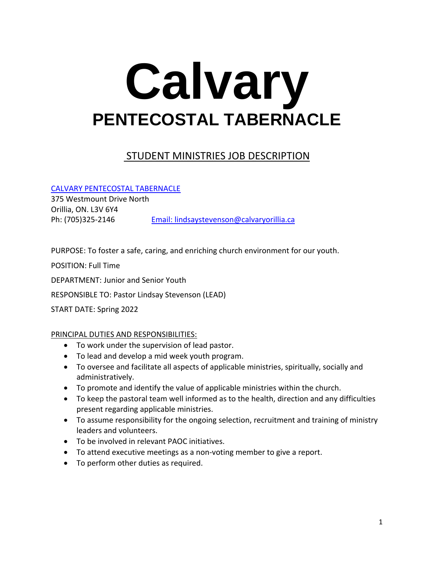# **Calvary PENTECOSTAL TABERNACLE**

# STUDENT MINISTRIES JOB DESCRIPTION

[CALVARY PENTECOSTAL TABERNACLE](https://www.calvaryorillia.ca/)

375 Westmount Drive North Orillia, ON. L3V 6Y4 Ph: (705)325-2146 [Email: lindsaystevenson@calvaryorillia.ca](mailto:lindsaystevenson@calvaryorillia.ca)

PURPOSE: To foster a safe, caring, and enriching church environment for our youth.

POSITION: Full Time

DEPARTMENT: Junior and Senior Youth

RESPONSIBLE TO: Pastor Lindsay Stevenson (LEAD)

START DATE: Spring 2022

### PRINCIPAL DUTIES AND RESPONSIBILITIES:

- To work under the supervision of lead pastor.
- To lead and develop a mid week youth program.
- To oversee and facilitate all aspects of applicable ministries, spiritually, socially and administratively.
- To promote and identify the value of applicable ministries within the church.
- To keep the pastoral team well informed as to the health, direction and any difficulties present regarding applicable ministries.
- To assume responsibility for the ongoing selection, recruitment and training of ministry leaders and volunteers.
- To be involved in relevant PAOC initiatives.
- To attend executive meetings as a non-voting member to give a report.
- To perform other duties as required.